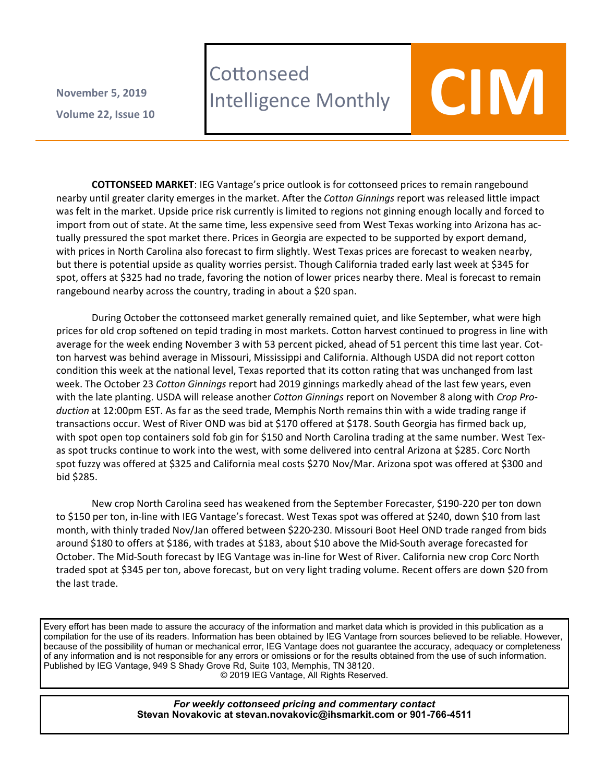**Volume 22 , Issue 10 November 5, 2019**

# **Cottonseed** LOTTONSeed<br>Intelligence Monthly **COIM**

**COTTONSEED MARKET**: IEG Vantage's price outlook is for cottonseed prices to remain rangebound nearby until greater clarity emerges in the market. After the *Cotton Ginnings* report was released little impact was felt in the market. Upside price risk currently is limited to regions not ginning enough locally and forced to import from out of state. At the same time, less expensive seed from West Texas working into Arizona has actually pressured the spot market there. Prices in Georgia are expected to be supported by export demand, with prices in North Carolina also forecast to firm slightly. West Texas prices are forecast to weaken nearby, but there is potential upside as quality worries persist. Though California traded early last week at \$345 for spot, offers at \$325 had no trade, favoring the notion of lower prices nearby there. Meal is forecast to remain rangebound nearby across the country, trading in about a \$20 span.

During October the cottonseed market generally remained quiet, and like September, what were high prices for old crop softened on tepid trading in most markets. Cotton harvest continued to progress in line with average for the week ending November 3 with 53 percent picked, ahead of 51 percent this time last year. Cotton harvest was behind average in Missouri, Mississippi and California. Although USDA did not report cotton condition this week at the national level, Texas reported that its cotton rating that was unchanged from last week. The October 23 *Cotton Ginnings* report had 2019 ginnings markedly ahead of the last few years, even with the late planting. USDA will release another *Cotton Ginnings* report on November 8 along with *Crop Production* at 12:00pm EST. As far as the seed trade, Memphis North remains thin with a wide trading range if transactions occur. West of River OND was bid at \$170 offered at \$178. South Georgia has firmed back up, with spot open top containers sold fob gin for \$150 and North Carolina trading at the same number. West Texas spot trucks continue to work into the west, with some delivered into central Arizona at \$285. Corc North spot fuzzy was offered at \$325 and California meal costs \$270 Nov/Mar. Arizona spot was offered at \$300 and bid \$285.

New crop North Carolina seed has weakened from the September Forecaster, \$190-220 per ton down to \$150 per ton, in-line with IEG Vantage's forecast. West Texas spot was offered at \$240, down \$10 from last month, with thinly traded Nov/Jan offered between \$220-230. Missouri Boot Heel OND trade ranged from bids around \$180 to offers at \$186, with trades at \$183, about \$10 above the Mid-South average forecasted for October. The Mid-South forecast by IEG Vantage was in-line for West of River. California new crop Corc North traded spot at \$345 per ton, above forecast, but on very light trading volume. Recent offers are down \$20 from the last trade.

Every effort has been made to assure the accuracy of the information and market data which is provided in this publication as a compilation for the use of its readers. Information has been obtained by IEG Vantage from sources believed to be reliable. However, because of the possibility of human or mechanical error, IEG Vantage does not guarantee the accuracy, adequacy or completeness of any information and is not responsible for any errors or omissions or for the results obtained from the use of such information. Published by IEG Vantage, 949 S Shady Grove Rd, Suite 103, Memphis, TN 38120.

© 2019 IEG Vantage, All Rights Reserved.

*For weekly cottonseed pricing and commentary contact* **Stevan Novakovic at stevan.novakovic@ihsmarkit.com or 901-766-4511**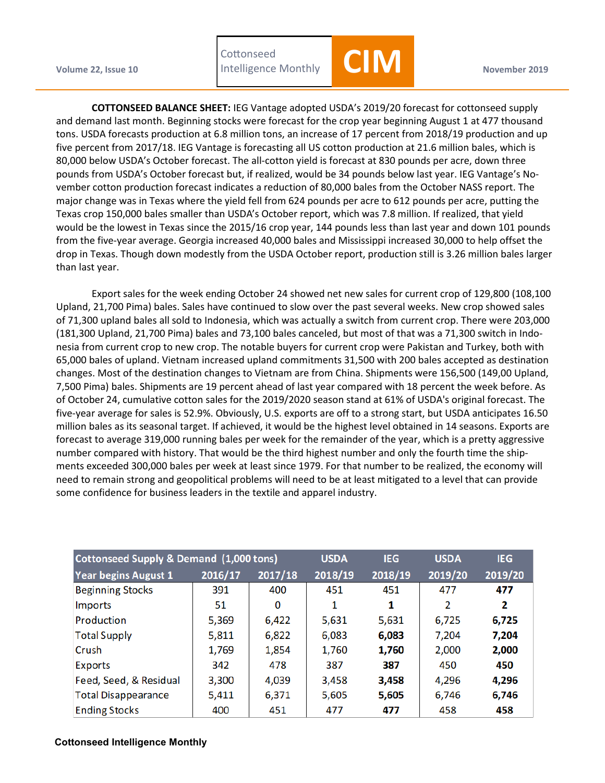Volume 22, Issue 10 **November 2019** Intelligence Monthly **November 2019** November 2019 **Cottonseed** 



**COTTONSEED BALANCE SHEET:** IEG Vantage adopted USDA's 2019/20 forecast for cottonseed supply and demand last month. Beginning stocks were forecast for the crop year beginning August 1 at 477 thousand tons. USDA forecasts production at 6.8 million tons, an increase of 17 percent from 2018/19 production and up five percent from 2017/18. IEG Vantage is forecasting all US cotton production at 21.6 million bales, which is 80,000 below USDA's October forecast. The all-cotton yield is forecast at 830 pounds per acre, down three pounds from USDA's October forecast but, if realized, would be 34 pounds below last year. IEG Vantage's November cotton production forecast indicates a reduction of 80,000 bales from the October NASS report. The major change was in Texas where the yield fell from 624 pounds per acre to 612 pounds per acre, putting the Texas crop 150,000 bales smaller than USDA's October report, which was 7.8 million. If realized, that yield would be the lowest in Texas since the 2015/16 crop year, 144 pounds less than last year and down 101 pounds from the five-year average. Georgia increased 40,000 bales and Mississippi increased 30,000 to help offset the drop in Texas. Though down modestly from the USDA October report, production still is 3.26 million bales larger than last year.

Export sales for the week ending October 24 showed net new sales for current crop of 129,800 (108,100 Upland, 21,700 Pima) bales. Sales have continued to slow over the past several weeks. New crop showed sales of 71,300 upland bales all sold to Indonesia, which was actually a switch from current crop. There were 203,000 (181,300 Upland, 21,700 Pima) bales and 73,100 bales canceled, but most of that was a 71,300 switch in Indonesia from current crop to new crop. The notable buyers for current crop were Pakistan and Turkey, both with 65,000 bales of upland. Vietnam increased upland commitments 31,500 with 200 bales accepted as destination changes. Most of the destination changes to Vietnam are from China. Shipments were 156,500 (149,00 Upland, 7,500 Pima) bales. Shipments are 19 percent ahead of last year compared with 18 percent the week before. As of October 24, cumulative cotton sales for the 2019/2020 season stand at 61% of USDA's original forecast. The five-year average for sales is 52.9%. Obviously, U.S. exports are off to a strong start, but USDA anticipates 16.50 million bales as its seasonal target. If achieved, it would be the highest level obtained in 14 seasons. Exports are forecast to average 319,000 running bales per week for the remainder of the year, which is a pretty aggressive number compared with history. That would be the third highest number and only the fourth time the shipments exceeded 300,000 bales per week at least since 1979. For that number to be realized, the economy will need to remain strong and geopolitical problems will need to be at least mitigated to a level that can provide some confidence for business leaders in the textile and apparel industry.

| Cottonseed Supply & Demand (1,000 tons) |         |         | <b>USDA</b> | <b>IEG</b> | <b>USDA</b> | <b>IEG</b> |
|-----------------------------------------|---------|---------|-------------|------------|-------------|------------|
| <b>Year begins August 1</b>             | 2016/17 | 2017/18 | 2018/19     | 2018/19    | 2019/20     | 2019/20    |
| <b>Beginning Stocks</b>                 | 391     | 400     | 451         | 451        | 477         | 477        |
| Imports                                 | 51      | 0       | 1           | 1          | 2           | 2          |
| Production                              | 5,369   | 6,422   | 5,631       | 5,631      | 6,725       | 6,725      |
| <b>Total Supply</b>                     | 5,811   | 6,822   | 6,083       | 6,083      | 7,204       | 7,204      |
| Crush                                   | 1,769   | 1,854   | 1,760       | 1,760      | 2,000       | 2,000      |
| Exports                                 | 342     | 478     | 387         | 387        | 450         | 450        |
| Feed, Seed, & Residual                  | 3,300   | 4,039   | 3,458       | 3,458      | 4,296       | 4,296      |
| <b>Total Disappearance</b>              | 5,411   | 6,371   | 5,605       | 5,605      | 6,746       | 6,746      |
| <b>Ending Stocks</b>                    | 400     | 451     | 477         | 477        | 458         | 458        |

## **Cottonseed Intelligence Monthly**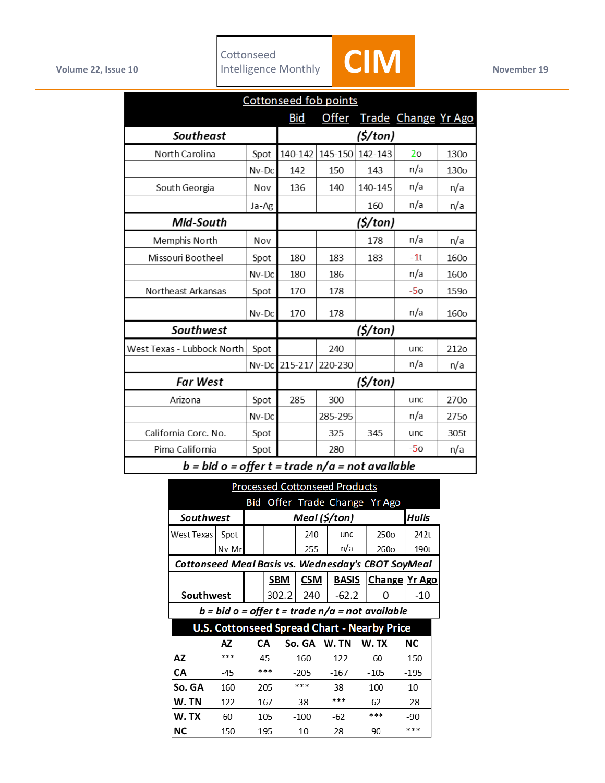

 $\overline{\phantom{a}}$ 

| <b>Cottonseed fob points</b> |          |                                                                                                         |              |         |                            |                  |  |
|------------------------------|----------|---------------------------------------------------------------------------------------------------------|--------------|---------|----------------------------|------------------|--|
|                              |          | <b>Bid</b>                                                                                              | <b>Offer</b> |         | <b>Trade Change Yr Ago</b> |                  |  |
| <b>Southeast</b>             | (\$/ton) |                                                                                                         |              |         |                            |                  |  |
| North Carolina               | Spot     | 140-142                                                                                                 | 145-150      | 142-143 | 2 <sub>o</sub>             | <b>130o</b>      |  |
|                              | $Nv$ -Dc | 142                                                                                                     | 150          | 143     | n/a                        | <b>130o</b>      |  |
| South Georgia                | Nov      | 136                                                                                                     | 140          | 140-145 | n/a                        | n/a              |  |
|                              | Ja-Ag    |                                                                                                         |              | 160     | n/a                        | n/a              |  |
| <b>Mid-South</b>             | (5/ton)  |                                                                                                         |              |         |                            |                  |  |
| Memphis North                | Nov      |                                                                                                         |              | 178     | n/a                        | n/a              |  |
| Missouri Bootheel            | Spot     | 180                                                                                                     | 183          | 183     | -1t                        | <b>160o</b>      |  |
|                              | $Nv$ -Dc | 180                                                                                                     | 186          |         | n/a                        | <b>160o</b>      |  |
| Northeast Arkansas           | Spot     | 170                                                                                                     | 178          |         | $-50$                      | <b>159o</b>      |  |
|                              | $Nv$ -Dc | 170                                                                                                     | 178          |         | n/a                        | 160 <sub>o</sub> |  |
| Southwest                    | (\$/ton) |                                                                                                         |              |         |                            |                  |  |
| West Texas - Lubbock North   | Spot     |                                                                                                         | 240          |         | unc                        | 212o             |  |
|                              | Nv-Dc    | 215-217                                                                                                 | 220-230      |         | n/a                        | n/a              |  |
| <b>Far West</b>              | (\$/ton) |                                                                                                         |              |         |                            |                  |  |
| Arizona                      | Spot     | 285                                                                                                     | 300          |         | unc                        | 270o             |  |
|                              | Nv-Dc    |                                                                                                         | 285-295      |         | n/a                        | 275 <sub>o</sub> |  |
| California Corc. No.         | Spot     |                                                                                                         | 325          | 345     | unc                        | 305t             |  |
| Pima California              | Spot     |                                                                                                         | 280          |         | $-50$                      | n/a              |  |
| $\mathbf{1}$                 |          | $\mathbf{r}$ $\mathbf{r}$ $\mathbf{r}$ $\mathbf{r}$ $\mathbf{r}$ $\mathbf{r}$ $\mathbf{r}$ $\mathbf{r}$ |              |         | 21 <u>.</u>                |                  |  |

 $b = bid o = offer t = trade n/a = not available$ 

| <b>Processed Cottonseed Products</b>               |       |               |       |        |              |        |                               |        |                      |        |  |
|----------------------------------------------------|-------|---------------|-------|--------|--------------|--------|-------------------------------|--------|----------------------|--------|--|
|                                                    |       |               |       |        |              |        | Bid Offer Trade Change Yr Ago |        |                      |        |  |
| Southwest                                          |       | Meal (\$/ton) |       |        |              |        |                               | Hulls  |                      |        |  |
| West Texas                                         | Spot  |               |       |        | 240          |        | unc                           |        | 250o                 | 242t   |  |
|                                                    | Nv-Mr |               |       |        | 255          |        | n/a                           |        | 260o                 | 190t   |  |
| Cottonseed Meal Basis vs. Wednesday's CBOT SoyMeal |       |               |       |        |              |        |                               |        |                      |        |  |
|                                                    |       |               | SBM   |        | <b>CSM</b>   |        | <b>BASIS</b>                  |        | <b>Change Yr Ago</b> |        |  |
| Southwest                                          |       |               | 302.2 |        | 240          |        | $-62.2$                       |        | 0                    | -10    |  |
| $b = bid o = offer t = trade n/a = not available$  |       |               |       |        |              |        |                               |        |                      |        |  |
| <b>U.S. Cottonseed Spread Chart - Nearby Price</b> |       |               |       |        |              |        |                               |        |                      |        |  |
|                                                    | ΑZ    |               | СA    |        | So. GA W. TN |        |                               |        | W. TX                | ΝC     |  |
| AZ                                                 | ***   |               | 45    |        | $-160$       |        | $-122$                        |        | -60                  | $-150$ |  |
| CA                                                 | $-45$ | ***           |       | $-205$ |              | $-167$ |                               | $-105$ | $-195$               |        |  |
| So. GA                                             | 160   | 205           |       | ***    |              | 38     |                               | 100    | 10                   |        |  |
| W.TN                                               | 122   |               | 167   |        | $-38$        |        | ***                           |        | 62                   | -28    |  |
| W.TX                                               | 60    |               | 105   |        | $-100$       |        | -62                           |        | ***                  | -90    |  |
| ΝC                                                 | 150   |               | 195   |        | $-10$        |        | 28                            |        | 90                   | ***    |  |